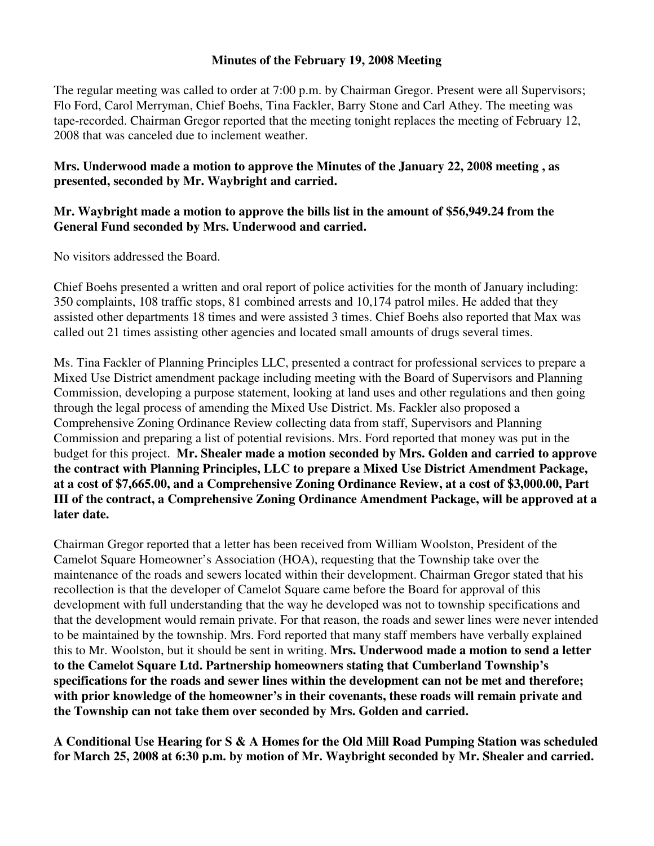## **Minutes of the February 19, 2008 Meeting**

The regular meeting was called to order at 7:00 p.m. by Chairman Gregor. Present were all Supervisors; Flo Ford, Carol Merryman, Chief Boehs, Tina Fackler, Barry Stone and Carl Athey. The meeting was tape-recorded. Chairman Gregor reported that the meeting tonight replaces the meeting of February 12, 2008 that was canceled due to inclement weather.

## **Mrs. Underwood made a motion to approve the Minutes of the January 22, 2008 meeting , as presented, seconded by Mr. Waybright and carried.**

## **Mr. Waybright made a motion to approve the bills list in the amount of \$56,949.24 from the General Fund seconded by Mrs. Underwood and carried.**

No visitors addressed the Board.

Chief Boehs presented a written and oral report of police activities for the month of January including: 350 complaints, 108 traffic stops, 81 combined arrests and 10,174 patrol miles. He added that they assisted other departments 18 times and were assisted 3 times. Chief Boehs also reported that Max was called out 21 times assisting other agencies and located small amounts of drugs several times.

Ms. Tina Fackler of Planning Principles LLC, presented a contract for professional services to prepare a Mixed Use District amendment package including meeting with the Board of Supervisors and Planning Commission, developing a purpose statement, looking at land uses and other regulations and then going through the legal process of amending the Mixed Use District. Ms. Fackler also proposed a Comprehensive Zoning Ordinance Review collecting data from staff, Supervisors and Planning Commission and preparing a list of potential revisions. Mrs. Ford reported that money was put in the budget for this project. **Mr. Shealer made a motion seconded by Mrs. Golden and carried to approve the contract with Planning Principles, LLC to prepare a Mixed Use District Amendment Package, at a cost of \$7,665.00, and a Comprehensive Zoning Ordinance Review, at a cost of \$3,000.00, Part III of the contract, a Comprehensive Zoning Ordinance Amendment Package, will be approved at a later date.** 

Chairman Gregor reported that a letter has been received from William Woolston, President of the Camelot Square Homeowner's Association (HOA), requesting that the Township take over the maintenance of the roads and sewers located within their development. Chairman Gregor stated that his recollection is that the developer of Camelot Square came before the Board for approval of this development with full understanding that the way he developed was not to township specifications and that the development would remain private. For that reason, the roads and sewer lines were never intended to be maintained by the township. Mrs. Ford reported that many staff members have verbally explained this to Mr. Woolston, but it should be sent in writing. **Mrs. Underwood made a motion to send a letter to the Camelot Square Ltd. Partnership homeowners stating that Cumberland Township's specifications for the roads and sewer lines within the development can not be met and therefore; with prior knowledge of the homeowner's in their covenants, these roads will remain private and the Township can not take them over seconded by Mrs. Golden and carried.** 

**A Conditional Use Hearing for S & A Homes for the Old Mill Road Pumping Station was scheduled for March 25, 2008 at 6:30 p.m. by motion of Mr. Waybright seconded by Mr. Shealer and carried.**